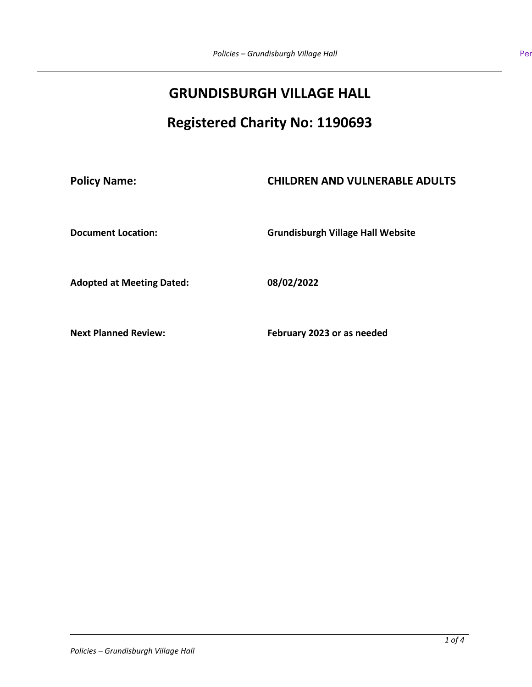# **GRUNDISBURGH VILLAGE HALL**

# **Registered Charity No: 1190693**

## **Policy Name: CHILDREN AND VULNERABLE ADULTS**

**Document Location: Grundisburgh Village Hall Website**

**Adopted at Meeting Dated: 08/02/2022**

**Next Planned Review: February 2023 or as needed**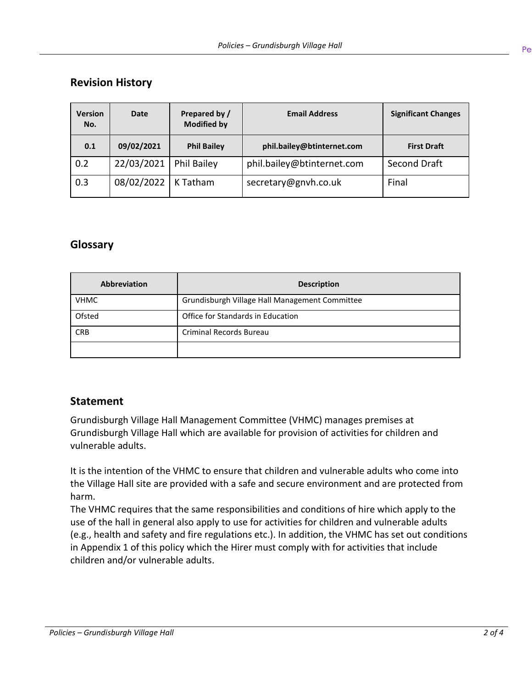## **Revision History**

| <b>Version</b><br>No. | Date       | Prepared by /<br><b>Modified by</b> | <b>Email Address</b>       | <b>Significant Changes</b> |
|-----------------------|------------|-------------------------------------|----------------------------|----------------------------|
| 0.1                   | 09/02/2021 | <b>Phil Bailey</b>                  | phil.bailey@btinternet.com | <b>First Draft</b>         |
| 0.2                   | 22/03/2021 | <b>Phil Bailey</b>                  | phil.bailey@btinternet.com | Second Draft               |
| 0.3                   | 08/02/2022 | K Tatham                            | secretary@gnvh.co.uk       | Final                      |

### **Glossary**

| <b>Abbreviation</b> | <b>Description</b>                             |
|---------------------|------------------------------------------------|
| <b>VHMC</b>         | Grundisburgh Village Hall Management Committee |
| Ofsted              | Office for Standards in Education              |
| <b>CRB</b>          | <b>Criminal Records Bureau</b>                 |
|                     |                                                |

#### **Statement**

Grundisburgh Village Hall Management Committee (VHMC) manages premises at Grundisburgh Village Hall which are available for provision of activities for children and vulnerable adults.

It is the intention of the VHMC to ensure that children and vulnerable adults who come into the Village Hall site are provided with a safe and secure environment and are protected from harm.

The VHMC requires that the same responsibilities and conditions of hire which apply to the use of the hall in general also apply to use for activities for children and vulnerable adults (e.g., health and safety and fire regulations etc.). In addition, the VHMC has set out conditions in Appendix 1 of this policy which the Hirer must comply with for activities that include children and/or vulnerable adults.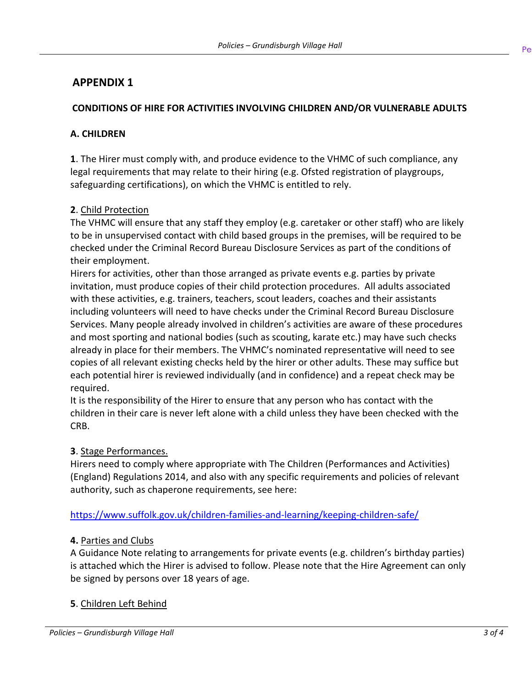## **APPENDIX 1**

#### **CONDITIONS OF HIRE FOR ACTIVITIES INVOLVING CHILDREN AND/OR VULNERABLE ADULTS**

#### **A. CHILDREN**

**1**. The Hirer must comply with, and produce evidence to the VHMC of such compliance, any legal requirements that may relate to their hiring (e.g. Ofsted registration of playgroups, safeguarding certifications), on which the VHMC is entitled to rely.

#### **2**. Child Protection

The VHMC will ensure that any staff they employ (e.g. caretaker or other staff) who are likely to be in unsupervised contact with child based groups in the premises, will be required to be checked under the Criminal Record Bureau Disclosure Services as part of the conditions of their employment.

Hirers for activities, other than those arranged as private events e.g. parties by private invitation, must produce copies of their child protection procedures. All adults associated with these activities, e.g. trainers, teachers, scout leaders, coaches and their assistants including volunteers will need to have checks under the Criminal Record Bureau Disclosure Services. Many people already involved in children's activities are aware of these procedures and most sporting and national bodies (such as scouting, karate etc.) may have such checks already in place for their members. The VHMC's nominated representative will need to see copies of all relevant existing checks held by the hirer or other adults. These may suffice but each potential hirer is reviewed individually (and in confidence) and a repeat check may be required.

It is the responsibility of the Hirer to ensure that any person who has contact with the children in their care is never left alone with a child unless they have been checked with the CRB.

#### **3**. Stage Performances.

Hirers need to comply where appropriate with The Children (Performances and Activities) (England) Regulations 2014, and also with any specific requirements and policies of relevant authority, such as chaperone requirements, see here:

<https://www.suffolk.gov.uk/children-families-and-learning/keeping-children-safe/>

#### **4.** Parties and Clubs

A Guidance Note relating to arrangements for private events (e.g. children's birthday parties) is attached which the Hirer is advised to follow. Please note that the Hire Agreement can only be signed by persons over 18 years of age.

#### **5**. Children Left Behind